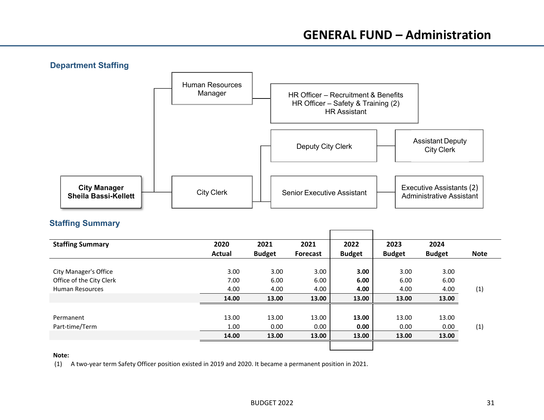

# **Staffing Summary**

| 2020          | 2021          | 2021            | 2022          | 2023              | 2024          |             |
|---------------|---------------|-----------------|---------------|-------------------|---------------|-------------|
| <b>Actual</b> | <b>Budget</b> | <b>Forecast</b> | <b>Budget</b> | <b>Budget</b>     | <b>Budget</b> | <b>Note</b> |
|               |               |                 |               |                   |               |             |
| 3.00          | 3.00          | 3.00            | 3.00          | 3.00 <sub>1</sub> | 3.00          |             |
| 7.00          | 6.00          | 6.00            | 6.00          | 6.00              | 6.00          |             |
| 4.00          | 4.00          | 4.00            | 4.00          | 4.00              | 4.00          | (1)         |
| 14.00         | 13.00         | 13.00           | 13.00         | 13.00             | 13.00         |             |
|               |               |                 |               |                   |               |             |
| 13.00         | 13.00         | 13.00           | 13.00         | 13.00             | 13.00         |             |
| 1.00          | 0.00          | 0.00            | 0.00          | 0.00              | 0.00          | (1)         |
| 14.00         | 13.00         | 13.00           | 13.00         | 13.00             | 13.00         |             |
|               |               |                 |               |                   |               |             |
|               |               |                 |               |                   |               |             |

#### **Note:**

(1) A two‐year term Safety Officer position existed in 2019 and 2020. It became <sup>a</sup> permanent position in 2021.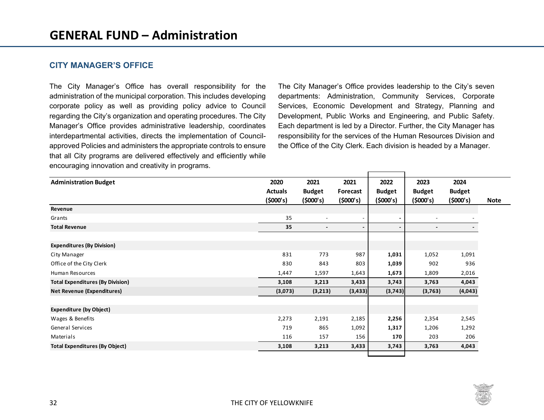### **CITY MANAGER'S OFFICE**

The City Manager's Office has overall responsibility for the administration of the municipal corporation. This includes developing corporate policy as well as providing policy advice to Council regarding the City's organization and operating procedures. The City Manager's Office provides administrative leadership, coordinates interdepartmental activities, directs the implementation of Councilapproved Policies and administers the appropriate controls to ensure that all City programs are delivered effectively and efficiently while encouraging innovation and creativity in programs.

The City Manager's Office provides leadership to the City's seven departments: Administration, Community Services, Corporate Services, Economic Development and Strategy, Planning and Development, Public Works and Engineering, and Public Safety. Each department is led by a Director. Further, the City Manager has responsibility for the services of the Human Resources Division and the Office of the City Clerk. Each division is headed by a Manager.

| <b>Administration Budget</b>            | 2020           | 2021                     | 2021     | 2022          | 2023                     | 2024          |  |
|-----------------------------------------|----------------|--------------------------|----------|---------------|--------------------------|---------------|--|
|                                         | <b>Actuals</b> | <b>Budget</b>            | Forecast | <b>Budget</b> | <b>Budget</b>            | <b>Budget</b> |  |
|                                         | (5000's)       | (5000's)                 | (5000's) | (5000's)      | (5000's)                 | (5000's)      |  |
| Revenue                                 |                |                          |          |               |                          |               |  |
| Grants                                  | 35             | $\blacksquare$           |          |               | $\overline{\phantom{a}}$ |               |  |
| <b>Total Revenue</b>                    | 35             | $\overline{\phantom{a}}$ | -        |               | $\blacksquare$           | $\sim$        |  |
|                                         |                |                          |          |               |                          |               |  |
| <b>Expenditures (By Division)</b>       |                |                          |          |               |                          |               |  |
| City Manager                            | 831            | 773                      | 987      | 1,031         | 1,052                    | 1,091         |  |
| Office of the City Clerk                | 830            | 843                      | 803      | 1,039         | 902                      | 936           |  |
| <b>Human Resources</b>                  | 1,447          | 1,597                    | 1,643    | 1,673         | 1,809                    | 2,016         |  |
| <b>Total Expenditures (By Division)</b> | 3,108          | 3,213                    | 3,433    | 3,743         | 3,763                    | 4,043         |  |
| <b>Net Revenue (Expenditures)</b>       | (3,073)        | (3,213)                  | (3, 433) | (3,743)       | (3,763)                  | (4,043)       |  |
|                                         |                |                          |          |               |                          |               |  |
| <b>Expenditure (by Object)</b>          |                |                          |          |               |                          |               |  |
| Wages & Benefits                        | 2,273          | 2,191                    | 2,185    | 2,256         | 2,354                    | 2,545         |  |
| <b>General Services</b>                 | 719            | 865                      | 1,092    | 1,317         | 1,206                    | 1,292         |  |
| Materials                               | 116            | 157                      | 156      | 170           | 203                      | 206           |  |
| <b>Total Expenditures (By Object)</b>   | 3,108          | 3,213                    | 3,433    | 3,743         | 3,763                    | 4,043         |  |
|                                         |                |                          |          |               |                          |               |  |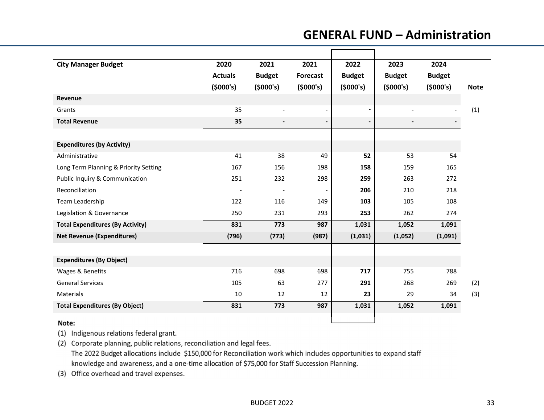# **GENERAL FUND – Administration**

| <b>City Manager Budget</b>              | 2020           | 2021                     | 2021            | 2022          | 2023           | 2024          |             |
|-----------------------------------------|----------------|--------------------------|-----------------|---------------|----------------|---------------|-------------|
|                                         | <b>Actuals</b> | <b>Budget</b>            | <b>Forecast</b> | <b>Budget</b> | <b>Budget</b>  | <b>Budget</b> |             |
|                                         | (5000's)       | (5000's)                 | (5000's)        | (5000's)      | (5000's)       | (5000's)      | <b>Note</b> |
| Revenue                                 |                |                          |                 |               |                |               |             |
| Grants                                  | 35             | $\overline{a}$           |                 |               | $\blacksquare$ |               | (1)         |
| <b>Total Revenue</b>                    | 35             | $\overline{\phantom{0}}$ |                 |               | $\overline{a}$ |               |             |
|                                         |                |                          |                 |               |                |               |             |
| <b>Expenditures (by Activity)</b>       |                |                          |                 |               |                |               |             |
| Administrative                          | 41             | 38                       | 49              | 52            | 53             | 54            |             |
| Long Term Planning & Priority Setting   | 167            | 156                      | 198             | 158           | 159            | 165           |             |
| Public Inquiry & Communication          | 251            | 232                      | 298             | 259           | 263            | 272           |             |
| Reconciliation                          |                | $\overline{\phantom{a}}$ |                 | 206           | 210            | 218           |             |
| Team Leadership                         | 122            | 116                      | 149             | 103           | 105            | 108           |             |
| Legislation & Governance                | 250            | 231                      | 293             | 253           | 262            | 274           |             |
| <b>Total Expenditures (By Activity)</b> | 831            | 773                      | 987             | 1,031         | 1,052          | 1,091         |             |
| <b>Net Revenue (Expenditures)</b>       | (796)          | (773)                    | (987)           | (1,031)       | (1,052)        | (1,091)       |             |
|                                         |                |                          |                 |               |                |               |             |
| <b>Expenditures (By Object)</b>         |                |                          |                 |               |                |               |             |
| Wages & Benefits                        | 716            | 698                      | 698             | 717           | 755            | 788           |             |
| <b>General Services</b>                 | 105            | 63                       | 277             | 291           | 268            | 269           | (2)         |
| Materials                               | 10             | 12                       | 12              | 23            | 29             | 34            | (3)         |
| <b>Total Expenditures (By Object)</b>   | 831            | 773                      | 987             | 1,031         | 1,052          | 1,091         |             |
| $\mathbf{A}$ $\mathbf{A}$ $\mathbf{A}$  |                |                          |                 |               |                |               |             |

#### Note:

(1) Indigenous relations federal grant.

(2) Corporate planning, public relations, reconciliation and legal fees. The 2022 Budget allocations include \$150,000 for Reconciliation work which includes opportunities to expand staff knowledge and awareness, and a one-time allocation of \$75,000 for Staff Succession Planning.

(3) Office overhead and travel expenses.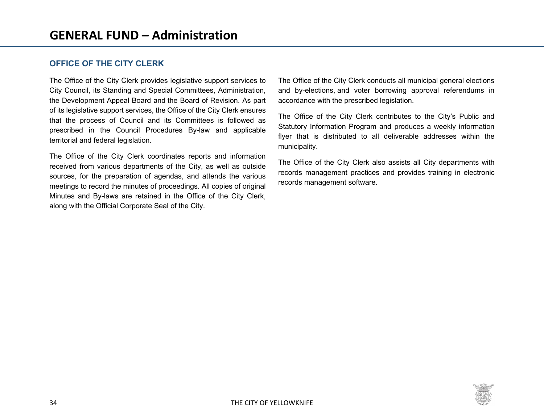### **OFFICE OF THE CITY CLERK**

The Office of the City Clerk provides legislative support services to City Council, its Standing and Special Committees, Administration, the Development Appeal Board and the Board of Revision. As part of its legislative support services, the Office of the City Clerk ensures that the process of Council and its Committees is followed as prescribed in the Council Procedures By-law and applicable territorial and federal legislation.

The Office of the City Clerk coordinates reports and information received from various departments of the City, as well as outside sources, for the preparation of agendas, and attends the various meetings to record the minutes of proceedings. All copies of original Minutes and By-laws are retained in the Office of the City Clerk, along with the Official Corporate Seal of the City.

The Office of the City Clerk conducts all municipal general elections and by-elections, and voter borrowing approval referendums in accordance with the prescribed legislation.

The Office of the City Clerk contributes to the City's Public and Statutory Information Program and produces a weekly information flyer that is distributed to all deliverable addresses within the municipality.

The Office of the City Clerk also assists all City departments with records management practices and provides training in electronic records management software.

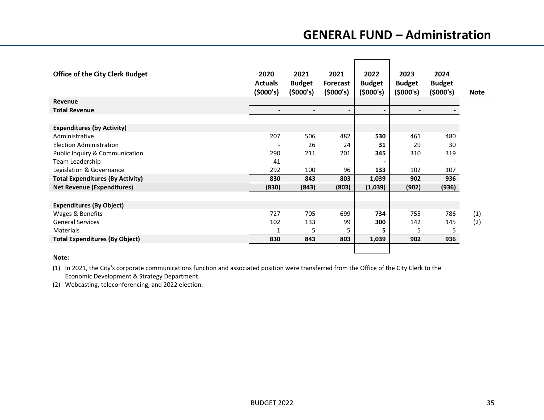# **GENERAL FUND – Administration**

| <b>Office of the City Clerk Budget</b>  | 2020           | 2021                     | 2021            | 2022           | 2023           | 2024          |             |
|-----------------------------------------|----------------|--------------------------|-----------------|----------------|----------------|---------------|-------------|
|                                         | <b>Actuals</b> | <b>Budget</b>            | <b>Forecast</b> | <b>Budget</b>  | <b>Budget</b>  | <b>Budget</b> |             |
|                                         | (5000's)       | (\$000's)                | (5000's)        | (5000's)       | (5000's)       | (5000's)      | <b>Note</b> |
| Revenue                                 |                |                          |                 |                |                |               |             |
| <b>Total Revenue</b>                    |                | $\overline{\phantom{0}}$ | -               | $\blacksquare$ | $\blacksquare$ |               |             |
|                                         |                |                          |                 |                |                |               |             |
| <b>Expenditures (by Activity)</b>       |                |                          |                 |                |                |               |             |
| Administrative                          | 207            | 506                      | 482             | 530            | 461            | 480           |             |
| Election Administration                 |                | 26                       | 24              | 31             | 29             | 30            |             |
| Public Inquiry & Communication          | 290            | 211                      | 201             | 345            | 310            | 319           |             |
| Team Leadership                         | 41             |                          |                 |                |                |               |             |
| Legislation & Governance                | 292            | 100                      | 96              | 133            | 102            | 107           |             |
| <b>Total Expenditures (By Activity)</b> | 830            | 843                      | 803             | 1,039          | 902            | 936           |             |
| <b>Net Revenue (Expenditures)</b>       | (830)          | (843)                    | (803)           | (1,039)        | (902)          | (936)         |             |
|                                         |                |                          |                 |                |                |               |             |
| <b>Expenditures (By Object)</b>         |                |                          |                 |                |                |               |             |
| Wages & Benefits                        | 727            | 705                      | 699             | 734            | 755            | 786           | (1)         |
| <b>General Services</b>                 | 102            | 133                      | 99              | 300            | 142            | 145           | (2)         |
| Materials                               | 1              | 5                        | 5               | 5              | 5              | 5             |             |
| <b>Total Expenditures (By Object)</b>   | 830            | 843                      | 803             | 1,039          | 902            | 936           |             |
|                                         |                |                          |                 |                |                |               |             |
|                                         |                |                          |                 |                |                |               |             |

#### **Note:**

(1) In 2021, the City's corporate communications function and associated position were transferred from the Office of the City Clerk to the Economic Development & Strategy Department.

(2) Webcasting, teleconferencing, and 2022 election.